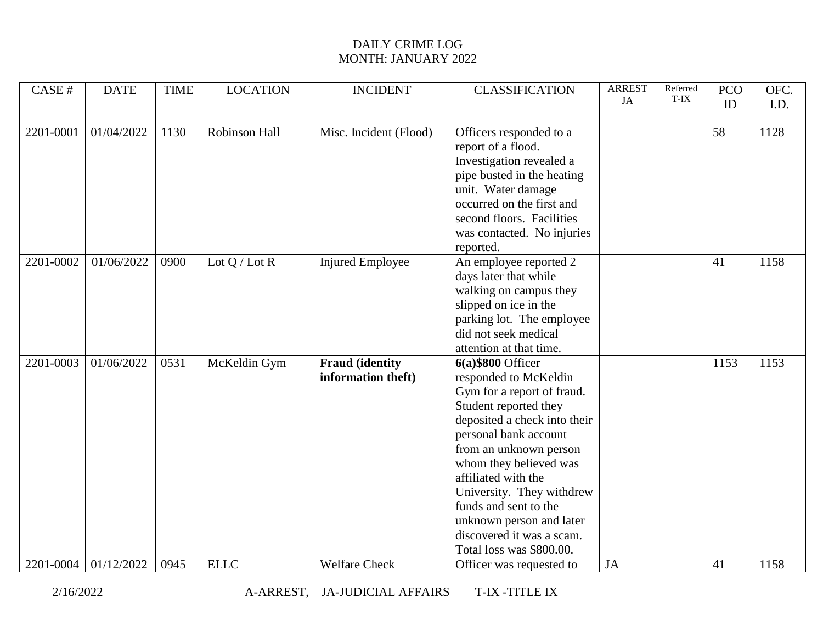| CASE#     | <b>DATE</b> | <b>TIME</b> | <b>LOCATION</b>              | <b>INCIDENT</b>         | <b>CLASSIFICATION</b>        | <b>ARREST</b> | Referred | <b>PCO</b> | OFC. |
|-----------|-------------|-------------|------------------------------|-------------------------|------------------------------|---------------|----------|------------|------|
|           |             |             |                              |                         |                              | JA            | T-IX     | ID         | I.D. |
|           |             |             |                              |                         |                              |               |          |            |      |
| 2201-0001 | 01/04/2022  | 1130        | Robinson Hall                | Misc. Incident (Flood)  | Officers responded to a      |               |          | 58         | 1128 |
|           |             |             |                              |                         | report of a flood.           |               |          |            |      |
|           |             |             |                              |                         | Investigation revealed a     |               |          |            |      |
|           |             |             |                              |                         | pipe busted in the heating   |               |          |            |      |
|           |             |             |                              |                         | unit. Water damage           |               |          |            |      |
|           |             |             |                              |                         | occurred on the first and    |               |          |            |      |
|           |             |             |                              |                         |                              |               |          |            |      |
|           |             |             |                              |                         | second floors. Facilities    |               |          |            |      |
|           |             |             |                              |                         | was contacted. No injuries   |               |          |            |      |
|           |             |             |                              |                         | reported.                    |               |          |            |      |
| 2201-0002 | 01/06/2022  | 0900        | Lot $Q /$ Lot $\overline{R}$ | <b>Injured Employee</b> | An employee reported 2       |               |          | 41         | 1158 |
|           |             |             |                              |                         | days later that while        |               |          |            |      |
|           |             |             |                              |                         | walking on campus they       |               |          |            |      |
|           |             |             |                              |                         | slipped on ice in the        |               |          |            |      |
|           |             |             |                              |                         | parking lot. The employee    |               |          |            |      |
|           |             |             |                              |                         | did not seek medical         |               |          |            |      |
|           |             |             |                              |                         | attention at that time.      |               |          |            |      |
| 2201-0003 | 01/06/2022  | 0531        | McKeldin Gym                 | <b>Fraud (identity)</b> | $6(a)$ \$800 Officer         |               |          | 1153       | 1153 |
|           |             |             |                              | information theft)      | responded to McKeldin        |               |          |            |      |
|           |             |             |                              |                         | Gym for a report of fraud.   |               |          |            |      |
|           |             |             |                              |                         | Student reported they        |               |          |            |      |
|           |             |             |                              |                         | deposited a check into their |               |          |            |      |
|           |             |             |                              |                         | personal bank account        |               |          |            |      |
|           |             |             |                              |                         | from an unknown person       |               |          |            |      |
|           |             |             |                              |                         | whom they believed was       |               |          |            |      |
|           |             |             |                              |                         | affiliated with the          |               |          |            |      |
|           |             |             |                              |                         | University. They withdrew    |               |          |            |      |
|           |             |             |                              |                         | funds and sent to the        |               |          |            |      |
|           |             |             |                              |                         | unknown person and later     |               |          |            |      |
|           |             |             |                              |                         | discovered it was a scam.    |               |          |            |      |
|           |             |             |                              |                         | Total loss was \$800.00.     |               |          |            |      |
| 2201-0004 | 01/12/2022  | 0945        | <b>ELLC</b>                  | <b>Welfare Check</b>    | Officer was requested to     | JA            |          | 41         | 1158 |

2/16/2022 A-ARREST, JA-JUDICIAL AFFAIRS T-IX -TITLE IX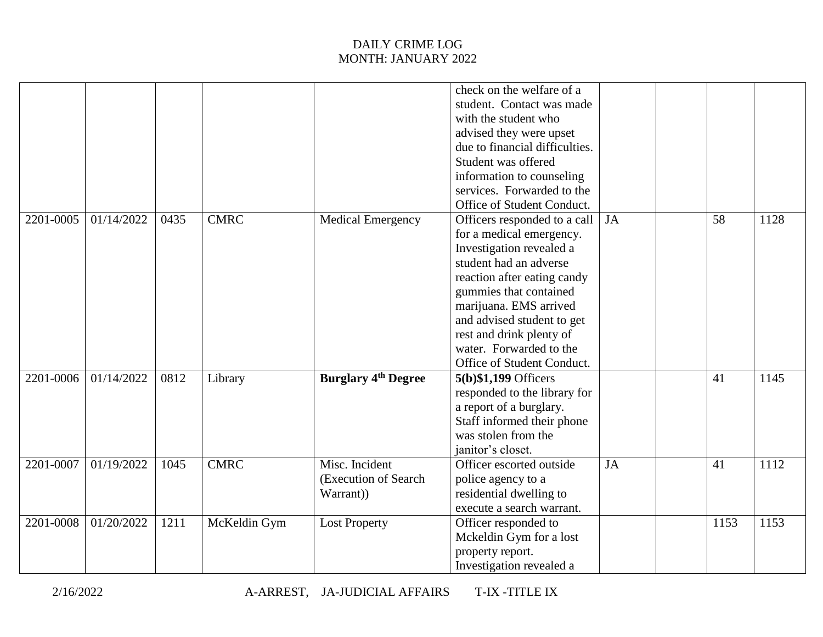|           |            |      |              |                            | check on the welfare of a      |    |      |      |
|-----------|------------|------|--------------|----------------------------|--------------------------------|----|------|------|
|           |            |      |              |                            | student. Contact was made      |    |      |      |
|           |            |      |              |                            | with the student who           |    |      |      |
|           |            |      |              |                            | advised they were upset        |    |      |      |
|           |            |      |              |                            | due to financial difficulties. |    |      |      |
|           |            |      |              |                            | Student was offered            |    |      |      |
|           |            |      |              |                            | information to counseling      |    |      |      |
|           |            |      |              |                            | services. Forwarded to the     |    |      |      |
|           |            |      |              |                            | Office of Student Conduct.     |    |      |      |
| 2201-0005 | 01/14/2022 | 0435 | <b>CMRC</b>  | <b>Medical Emergency</b>   | Officers responded to a call   | JA | 58   | 1128 |
|           |            |      |              |                            | for a medical emergency.       |    |      |      |
|           |            |      |              |                            | Investigation revealed a       |    |      |      |
|           |            |      |              |                            | student had an adverse         |    |      |      |
|           |            |      |              |                            | reaction after eating candy    |    |      |      |
|           |            |      |              |                            | gummies that contained         |    |      |      |
|           |            |      |              |                            | marijuana. EMS arrived         |    |      |      |
|           |            |      |              |                            | and advised student to get     |    |      |      |
|           |            |      |              |                            | rest and drink plenty of       |    |      |      |
|           |            |      |              |                            | water. Forwarded to the        |    |      |      |
|           |            |      |              |                            | Office of Student Conduct.     |    |      |      |
| 2201-0006 | 01/14/2022 | 0812 | Library      | <b>Burglary 4th Degree</b> | 5(b)\$1,199 Officers           |    | 41   | 1145 |
|           |            |      |              |                            | responded to the library for   |    |      |      |
|           |            |      |              |                            | a report of a burglary.        |    |      |      |
|           |            |      |              |                            | Staff informed their phone     |    |      |      |
|           |            |      |              |                            | was stolen from the            |    |      |      |
|           |            |      |              |                            | janitor's closet.              |    |      |      |
| 2201-0007 | 01/19/2022 | 1045 | <b>CMRC</b>  | Misc. Incident             | Officer escorted outside       | JA | 41   | 1112 |
|           |            |      |              | (Execution of Search)      | police agency to a             |    |      |      |
|           |            |      |              | Warrant))                  | residential dwelling to        |    |      |      |
|           |            |      |              |                            | execute a search warrant.      |    |      |      |
| 2201-0008 | 01/20/2022 | 1211 | McKeldin Gym | <b>Lost Property</b>       | Officer responded to           |    | 1153 | 1153 |
|           |            |      |              |                            | Mckeldin Gym for a lost        |    |      |      |
|           |            |      |              |                            | property report.               |    |      |      |
|           |            |      |              |                            | Investigation revealed a       |    |      |      |
|           |            |      |              |                            |                                |    |      |      |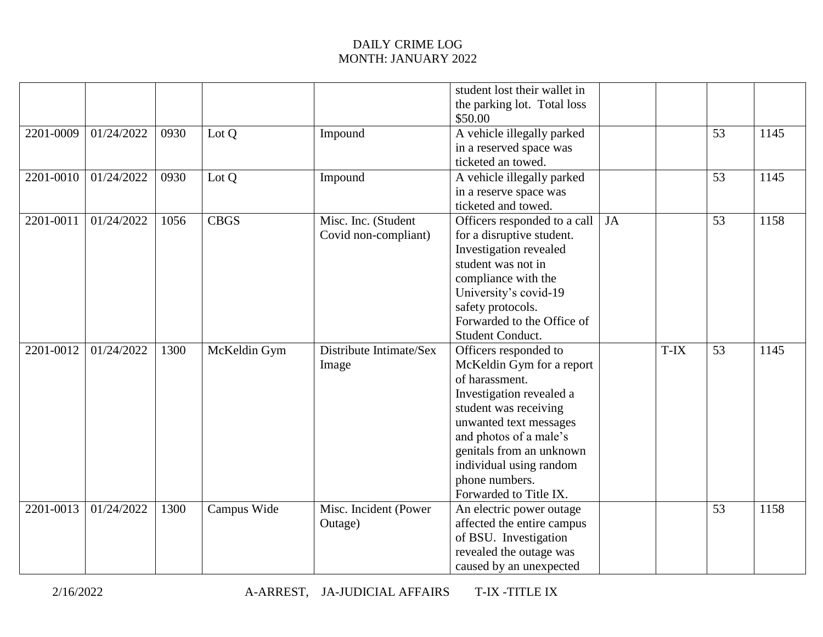| 2201-0009 | 01/24/2022 | 0930 | Lot Q        | Impound                                     | student lost their wallet in<br>the parking lot. Total loss<br>\$50.00<br>A vehicle illegally parked                                                                                                                                                                             |    |        | 53              | 1145 |
|-----------|------------|------|--------------|---------------------------------------------|----------------------------------------------------------------------------------------------------------------------------------------------------------------------------------------------------------------------------------------------------------------------------------|----|--------|-----------------|------|
|           |            |      |              |                                             | in a reserved space was<br>ticketed an towed.                                                                                                                                                                                                                                    |    |        |                 |      |
| 2201-0010 | 01/24/2022 | 0930 | Lot Q        | Impound                                     | A vehicle illegally parked<br>in a reserve space was<br>ticketed and towed.                                                                                                                                                                                                      |    |        | 53              | 1145 |
| 2201-0011 | 01/24/2022 | 1056 | <b>CBGS</b>  | Misc. Inc. (Student<br>Covid non-compliant) | Officers responded to a call<br>for a disruptive student.<br>Investigation revealed<br>student was not in<br>compliance with the<br>University's covid-19<br>safety protocols.<br>Forwarded to the Office of<br>Student Conduct.                                                 | JA |        | 53              | 1158 |
| 2201-0012 | 01/24/2022 | 1300 | McKeldin Gym | Distribute Intimate/Sex<br>Image            | Officers responded to<br>McKeldin Gym for a report<br>of harassment.<br>Investigation revealed a<br>student was receiving<br>unwanted text messages<br>and photos of a male's<br>genitals from an unknown<br>individual using random<br>phone numbers.<br>Forwarded to Title IX. |    | $T-IX$ | $\overline{53}$ | 1145 |
| 2201-0013 | 01/24/2022 | 1300 | Campus Wide  | Misc. Incident (Power<br>Outage)            | An electric power outage<br>affected the entire campus<br>of BSU. Investigation<br>revealed the outage was<br>caused by an unexpected                                                                                                                                            |    |        | $\overline{53}$ | 1158 |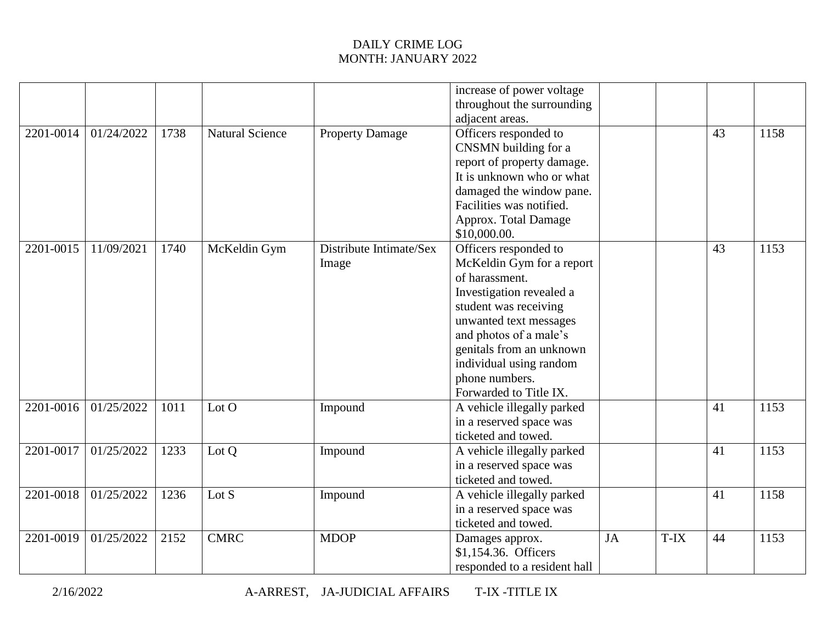|           |            |      |                        |                                  | increase of power voltage<br>throughout the surrounding<br>adjacent areas.                                                                                                                                                                                                       |           |        |    |      |
|-----------|------------|------|------------------------|----------------------------------|----------------------------------------------------------------------------------------------------------------------------------------------------------------------------------------------------------------------------------------------------------------------------------|-----------|--------|----|------|
| 2201-0014 | 01/24/2022 | 1738 | <b>Natural Science</b> | <b>Property Damage</b>           | Officers responded to<br>CNSMN building for a<br>report of property damage.<br>It is unknown who or what<br>damaged the window pane.<br>Facilities was notified.<br>Approx. Total Damage<br>\$10,000.00.                                                                         |           |        | 43 | 1158 |
| 2201-0015 | 11/09/2021 | 1740 | McKeldin Gym           | Distribute Intimate/Sex<br>Image | Officers responded to<br>McKeldin Gym for a report<br>of harassment.<br>Investigation revealed a<br>student was receiving<br>unwanted text messages<br>and photos of a male's<br>genitals from an unknown<br>individual using random<br>phone numbers.<br>Forwarded to Title IX. |           |        | 43 | 1153 |
| 2201-0016 | 01/25/2022 | 1011 | Lot O                  | Impound                          | A vehicle illegally parked<br>in a reserved space was<br>ticketed and towed.                                                                                                                                                                                                     |           |        | 41 | 1153 |
| 2201-0017 | 01/25/2022 | 1233 | Lot Q                  | Impound                          | A vehicle illegally parked<br>in a reserved space was<br>ticketed and towed.                                                                                                                                                                                                     |           |        | 41 | 1153 |
| 2201-0018 | 01/25/2022 | 1236 | Lot $S$                | Impound                          | A vehicle illegally parked<br>in a reserved space was<br>ticketed and towed.                                                                                                                                                                                                     |           |        | 41 | 1158 |
| 2201-0019 | 01/25/2022 | 2152 | <b>CMRC</b>            | <b>MDOP</b>                      | Damages approx.<br>\$1,154.36. Officers<br>responded to a resident hall                                                                                                                                                                                                          | <b>JA</b> | $T-IX$ | 44 | 1153 |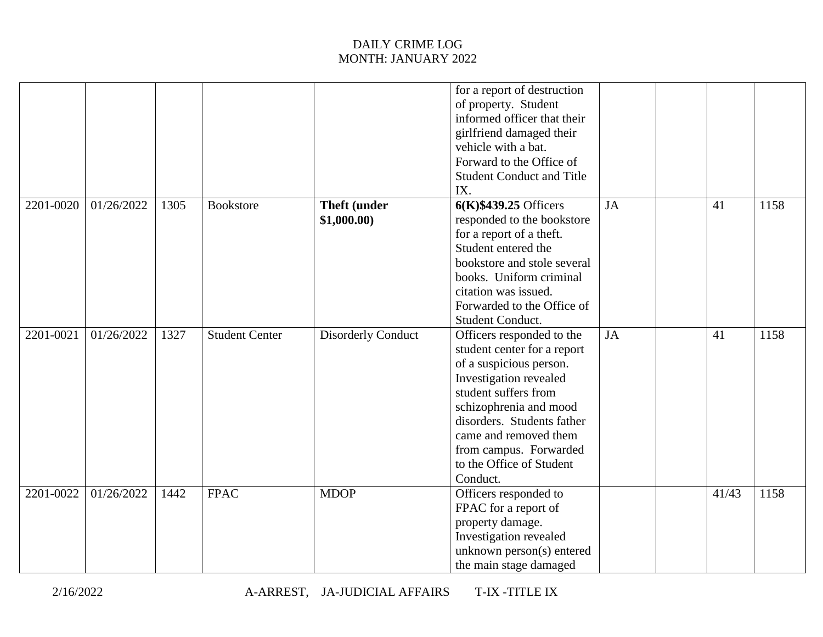|           |            |      |                       |                                    | for a report of destruction<br>of property. Student<br>informed officer that their<br>girlfriend damaged their<br>vehicle with a bat.<br>Forward to the Office of<br><b>Student Conduct and Title</b><br>IX.                                                                             |           |       |      |
|-----------|------------|------|-----------------------|------------------------------------|------------------------------------------------------------------------------------------------------------------------------------------------------------------------------------------------------------------------------------------------------------------------------------------|-----------|-------|------|
| 2201-0020 | 01/26/2022 | 1305 | <b>Bookstore</b>      | <b>Theft (under</b><br>\$1,000.00) | 6(K) \$439.25 Officers<br>responded to the bookstore<br>for a report of a theft.<br>Student entered the<br>bookstore and stole several<br>books. Uniform criminal<br>citation was issued.<br>Forwarded to the Office of<br>Student Conduct.                                              | <b>JA</b> | 41    | 1158 |
| 2201-0021 | 01/26/2022 | 1327 | <b>Student Center</b> | <b>Disorderly Conduct</b>          | Officers responded to the<br>student center for a report<br>of a suspicious person.<br>Investigation revealed<br>student suffers from<br>schizophrenia and mood<br>disorders. Students father<br>came and removed them<br>from campus. Forwarded<br>to the Office of Student<br>Conduct. | <b>JA</b> | 41    | 1158 |
| 2201-0022 | 01/26/2022 | 1442 | <b>FPAC</b>           | <b>MDOP</b>                        | Officers responded to<br>FPAC for a report of<br>property damage.<br>Investigation revealed<br>unknown person(s) entered<br>the main stage damaged                                                                                                                                       |           | 41/43 | 1158 |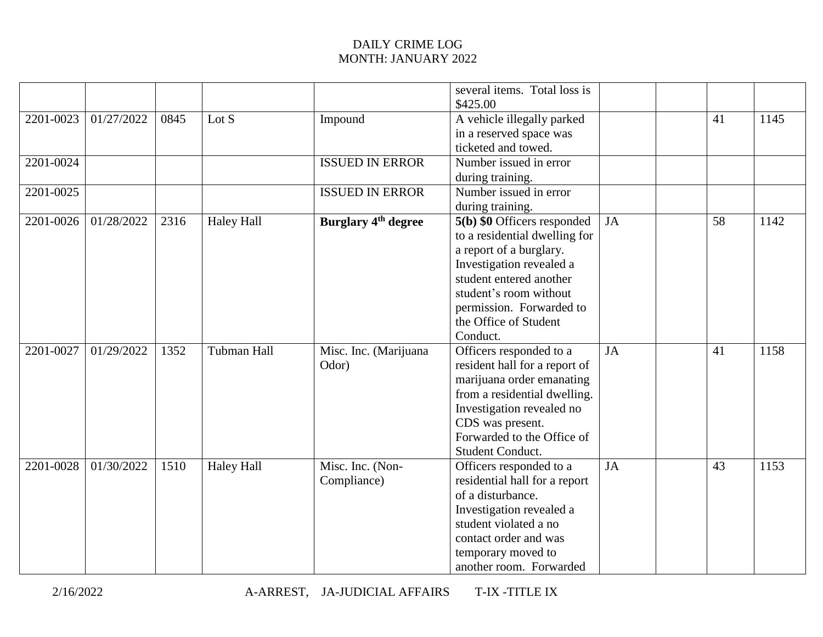|           |            |      |                   |                                                      | several items. Total loss is<br>\$425.00                                                                                                                                                                                                  |           |    |      |
|-----------|------------|------|-------------------|------------------------------------------------------|-------------------------------------------------------------------------------------------------------------------------------------------------------------------------------------------------------------------------------------------|-----------|----|------|
| 2201-0023 | 01/27/2022 | 0845 | Lot $S$           | Impound                                              | A vehicle illegally parked<br>in a reserved space was<br>ticketed and towed.                                                                                                                                                              |           | 41 | 1145 |
| 2201-0024 |            |      |                   | <b>ISSUED IN ERROR</b>                               | Number issued in error<br>during training.                                                                                                                                                                                                |           |    |      |
| 2201-0025 |            |      |                   | <b>ISSUED IN ERROR</b>                               | Number issued in error<br>during training.                                                                                                                                                                                                |           |    |      |
| 2201-0026 | 01/28/2022 | 2316 | <b>Haley Hall</b> | <b>Burglary 4th degree</b>                           | 5(b) \$0 Officers responded<br>to a residential dwelling for<br>a report of a burglary.<br>Investigation revealed a<br>student entered another<br>student's room without<br>permission. Forwarded to<br>the Office of Student<br>Conduct. | <b>JA</b> | 58 | 1142 |
| 2201-0027 | 01/29/2022 | 1352 | Tubman Hall       | Misc. Inc. (Marijuana<br>Odor)                       | Officers responded to a<br>resident hall for a report of<br>marijuana order emanating<br>from a residential dwelling.<br>Investigation revealed no<br>CDS was present.<br>Forwarded to the Office of<br>Student Conduct.                  | JA        | 41 | 1158 |
| 2201-0028 | 01/30/2022 | 1510 | <b>Haley Hall</b> | $\overline{\text{M}}$ isc. Inc. (Non-<br>Compliance) | Officers responded to a<br>residential hall for a report<br>of a disturbance.<br>Investigation revealed a<br>student violated a no<br>contact order and was<br>temporary moved to<br>another room. Forwarded                              | <b>JA</b> | 43 | 1153 |